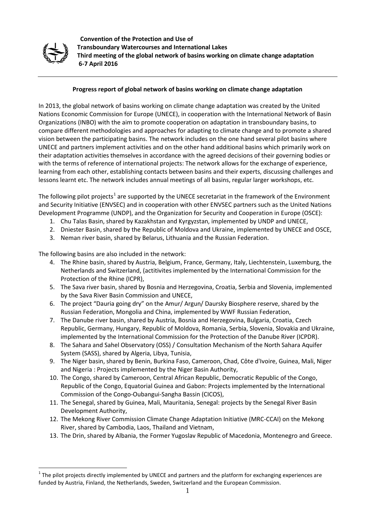

 **Convention of the Protection and Use of Transboundary Watercourses and International Lakes Third meeting of the global network of basins working on climate change adaptation 6-7 April 2016**

#### **Progress report of global network of basins working on climate change adaptation**

In 2013, the global network of basins working on climate change adaptation was created by the United Nations Economic Commission for Europe (UNECE), in cooperation with the International Network of Basin Organizations (INBO) with the aim to promote cooperation on adaptation in transboundary basins, to compare different methodologies and approaches for adapting to climate change and to promote a shared vision between the participating basins. The network includes on the one hand several pilot basins where UNECE and partners implement activities and on the other hand additional basins which primarily work on their adaptation activities themselves in accordance with the agreed decisions of their governing bodies or with the terms of reference of international projects: The network allows for the exchange of experience, learning from each other, establishing contacts between basins and their experts, discussing challenges and lessons learnt etc. The network includes annual meetings of all basins, regular larger workshops, etc.

The following pilot projects<sup>[1](#page-0-0)</sup> are supported by the UNECE secretariat in the framework of the Environment and Security Initiative (ENVSEC) and in cooperation with other ENVSEC partners such as the United Nations Development Programme (UNDP), and the Organization for Security and Cooperation in Europe (OSCE):

- 1. Chu Talas Basin, shared by Kazakhstan and Kyrgyzstan, implemented by UNDP and UNECE,
- 2. Dniester Basin, shared by the Republic of Moldova and Ukraine, implemented by UNECE and OSCE,
- 3. Neman river basin, shared by Belarus, Lithuania and the Russian Federation.

The following basins are also included in the network:

- 4. The Rhine basin, shared by Austria, Belgium, France, Germany, Italy, Liechtenstein, Luxemburg, the Netherlands and Switzerland, (actitivites implemented by the International Commission for the Protection of the Rhine (ICPR),
- 5. The Sava river basin, shared by Bosnia and Herzegovina, Croatia, Serbia and Slovenia, implemented by the Sava River Basin Commission and UNECE,
- 6. The project "Dauria going dry" on the Amur/ Argun/ Daursky Biosphere reserve, shared by the Russian Federation, Mongolia and China, implemented by WWF Russian Federation,
- 7. The Danube river basin, shared by Austria, Bosnia and Herzegovina, Bulgaria, Croatia, Czech Republic, Germany, Hungary, Republic of Moldova, Romania, Serbia, Slovenia, Slovakia and Ukraine, implemented by the International Commission for the Protection of the Danube River (ICPDR).
- 8. The Sahara and Sahel Observatory (OSS) / Consultation Mechanism of the North Sahara Aquifer System (SASS), shared by Algeria, Libya, Tunisia,
- 9. The Niger basin, shared b[y Benin,](http://en.wikipedia.org/wiki/Benin) [Burkina Faso,](http://en.wikipedia.org/wiki/Burkina_Faso) [Cameroon,](http://en.wikipedia.org/wiki/Cameroon) [Chad,](http://en.wikipedia.org/wiki/Chad) [Côte d'Ivoire,](http://en.wikipedia.org/wiki/C%C3%B4te_d%27Ivoire) [Guinea,](http://en.wikipedia.org/wiki/Guinea) [Mali,](http://en.wikipedia.org/wiki/Mali) [Niger](http://en.wikipedia.org/wiki/Niger) and [Nigeria](http://en.wikipedia.org/wiki/Nigeria) : Projects implemented by the Niger Basin Authority,
- 10. The Congo, shared by Cameroon, Central African Republic, Democratic Republic of the Congo, Republic of the Congo, Equatorial Guinea and Gabon: Projects implemented by the International Commission of the Congo-Oubangui-Sangha Bassin (CICOS),
- 11. The Senegal, shared by Guinea, Mali, Mauritania, Senegal: projects by the Senegal River Basin Development Authority,
- 12. The Mekong River Commission Climate Change Adaptation Initiative (MRC-CCAI) on the Mekong River, shared by Cambodia, Laos, Thailand and Vietnam,
- 13. The Drin, shared by Albania, the Former Yugoslav Republic of Macedonia, Montenegro and Greece.

<span id="page-0-0"></span> $1$  The pilot projects directly implemented by UNECE and partners and the platform for exchanging experiences are funded by Austria, Finland, the Netherlands, Sweden, Switzerland and the European Commission.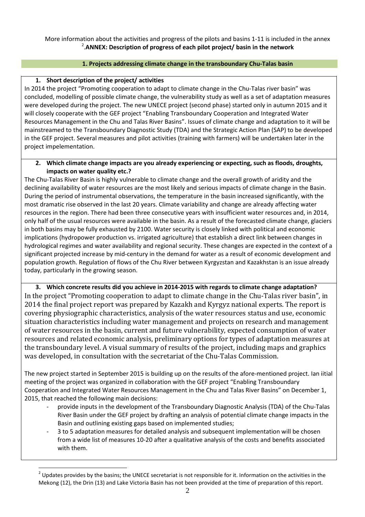#### More information about the activities and progress of the pilots and basins 1-11 is included in the annex [2](#page-1-0) .**ANNEX: Description of progress of each pilot project/ basin in the network**

#### **1. Projects addressing climate change in the transboundary Chu-Talas basin**

#### **1. Short description of the project/ activities**

In 2014 the project "Promoting cooperation to adapt to climate change in the Chu-Talas river basin" was concluded, modelling of possible climate change, the vulnerability study as well as a set of adaptation measures were developed during the project. The new UNECE project (second phase) started only in autumn 2015 and it will closely cooperate with the GEF project "Enabling Transboundary Cooperation and Integrated Water Resources Management in the Chu and Talas River Basins". Issues of climate change and adaptation to it will be mainstreamed to the Transboundary Diagnostic Study (TDA) and the Strategic Action Plan (SAP) to be developed in the GEF project. Several measures and pilot activities (training with farmers) will be undertaken later in the project impelementation.

#### **2. Which climate change impacts are you already experiencing or expecting, such as floods, droughts, impacts on water quality etc.?**

The Chu-Talas River Basin is highly vulnerable to climate change and the overall growth of aridity and the declining availability of water resources are the most likely and serious impacts of climate change in the Basin. During the period of instrumental observations, the temperature in the basin increased significantly, with the most dramatic rise observed in the last 20 years. Climate variability and change are already affecting water resources in the region. There had been three consecutive years with insufficient water resources and, in 2014, only half of the usual resources were available in the basin. As a result of the forecasted climate change, glaciers in both basins may be fully exhausted by 2100. Water security is closely linked with political and economic implications (hydropower production vs. irrigated agriculture) that establish a direct link between changes in hydrological regimes and water availability and regional security. These changes are expected in the context of a significant projected increase by mid-century in the demand for water as a result of economic development and population growth. Regulation of flows of the Chu River between Kyrgyzstan and Kazakhstan is an issue already today, particularly in the growing season.

#### **3. Which concrete results did you achieve in 2014-2015 with regards to climate change adaptation?**

In the project "Promoting cooperation to adapt to climate change in the Chu-Talas river basin", in 2014 the final project report was prepared by Kazakh and Kyrgyz national experts. The report is covering physiographic characteristics, analysis of the water resources status and use, economic situation characteristics including water management and projects on research and management of water resources in the basin, current and future vulnerability, expected consumption of water resources and related economic analysis, preliminary options for types of adaptation measures at the transboundary level. A visual summary of results of the project, including maps and graphics was developed, in consultation with the secretariat of the Chu-Talas Commission.

The new project started in September 2015 is building up on the results of the afore-mentioned project. Ian iitial meeting of the project was organized in collaboration with the GEF project "Enabling Transboundary Cooperation and Integrated Water Resources Management in the Chu and Talas River Basins" on December 1, 2015, that reached the following main decisions:

- provide inputs in the development of the Transboundary Diagnostic Analysis (TDA) of the Chu-Talas River Basin under the GEF project by drafting an analysis of potential climate change impacts in the Basin and outlining existing gaps based on implemented studies;
- 3 to 5 adaptation measures for detailed analysis and subsequent implementation will be chosen from a wide list of measures 10-20 after a qualitative analysis of the costs and benefits associated with them.

<span id="page-1-0"></span> $^2$  Updates provides by the basins; the UNECE secretariat is not responsible for it. Information on the activities in the Mekong (12), the Drin (13) and Lake Victoria Basin has not been provided at the time of preparation of this report.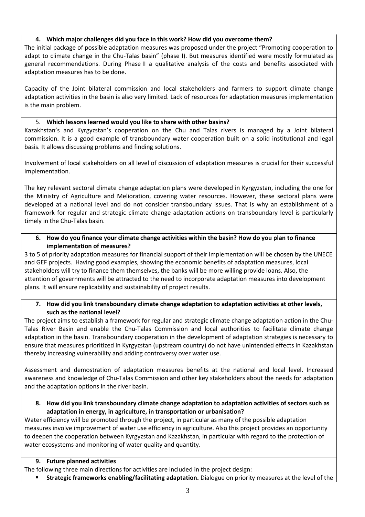#### **4. Which major challenges did you face in this work? How did you overcome them?**

The initial package of possible adaptation measures was proposed under the project "Promoting cooperation to adapt to climate change in the Chu-Talas basin" (phase I). But measures identified were mostly formulated as general recommendations. During Phase II a qualitative analysis of the costs and benefits associated with adaptation measures has to be done.

Capacity of the Joint bilateral commission and local stakeholders and farmers to support climate change adaptation activities in the basin is also very limited. Lack of resources for adaptation measures implementation is the main problem.

#### 5. **Which lessons learned would you like to share with other basins?**

Kazakhstan's and Kyrgyzstan's cooperation on the Chu and Talas rivers is managed by a Joint bilateral commission. It is a good example of transboundary water cooperation built on a solid institutional and legal basis. It allows discussing problems and finding solutions.

Involvement of local stakeholders on all level of discussion of adaptation measures is crucial for their successful implementation.

The key relevant sectoral climate change adaptation plans were developed in Kyrgyzstan, including the one for the Ministry of Agriculture and Melioration, covering water resources. However, these sectoral plans were developed at a national level and do not consider transboundary issues. That is why an establishment of a framework for regular and strategic climate change adaptation actions on transboundary level is particularly timely in the Chu-Talas basin.

#### **6. How do you finance your climate change activities within the basin? How do you plan to finance implementation of measures?**

3 to 5 of priority adaptation measures for financial support of their implementation will be chosen by the UNECE and GEF projects. Having good examples, showing the economic benefits of adaptation measures, local stakeholders will try to finance them themselves, the banks will be more willing provide loans. Also, the attention of governments will be attracted to the need to incorporate adaptation measures into development plans. It will ensure replicability and sustainability of project results.

#### **7. How did you link transboundary climate change adaptation to adaptation activities at other levels, such as the national level?**

The project aims to establish a framework for regular and strategic climate change adaptation action in the Chu-Talas River Basin and enable the Chu-Talas Commission and local authorities to facilitate climate change adaptation in the basin. Transboundary cooperation in the development of adaptation strategies is necessary to ensure that measures prioritized in Kyrgyzstan (upstream country) do not have unintended effects in Kazakhstan thereby increasing vulnerability and adding controversy over water use.

Assessment and demostration of adaptation measures benefits at the national and local level. Increased awareness and knowledge of Chu-Talas Commission and other key stakeholders about the needs for adaptation and the adaptation options in the river basin.

#### **8. How did you link transboundary climate change adaptation to adaptation activities of sectors such as adaptation in energy, in agriculture, in transportation or urbanisation?**

Water efficiency will be promoted through the project, in particular as many of the possible adaptation measures involve improvement of water use efficiency in agriculture. Also this project provides an opportunity to deepen the cooperation between Kyrgyzstan and Kazakhstan, in particular with regard to the protection of water ecosystems and monitoring of water quality and quantity.

#### **9. Future planned activities**

The following three main directions for activities are included in the project design:

**Strategic frameworks enabling/facilitating adaptation.** Dialogue on priority measures at the level of the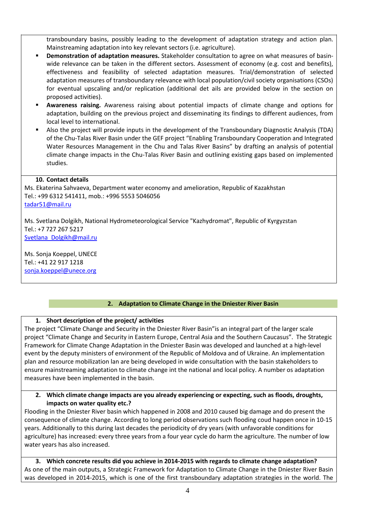transboundary basins, possibly leading to the development of adaptation strategy and action plan. Mainstreaming adaptation into key relevant sectors (i.e. agriculture).

- **Demonstration of adaptation measures.** Stakeholder consultation to agree on what measures of basinwide relevance can be taken in the different sectors. Assessment of economy (e.g. cost and benefits), effectiveness and feasibility of selected adaptation measures. Trial/demonstration of selected adaptation measures of transboundary relevance with local population/civil society organisations (CSOs) for eventual upscaling and/or replication (additional det ails are provided below in the section on proposed activities).
- **Awareness raising.** Awareness raising about potential impacts of climate change and options for adaptation, building on the previous project and disseminating its findings to different audiences, from local level to international.
- Also the project will provide inputs in the development of the Transboundary Diagnostic Analysis (TDA) of the Chu-Talas River Basin under the GEF project "Enabling Transboundary Cooperation and Integrated Water Resources Management in the Chu and Talas River Basins" by drafting an analysis of potential climate change impacts in the Chu-Talas River Basin and outlining existing gaps based on implemented studies.

#### **10. Contact details**

Ms. Ekaterina Sahvaeva, Department water economy and amelioration, Republic of Kazakhstan Tel.: +99 6312 541411, mob.: +996 5553 5046056 [tadar51@mail.ru](mailto:tadar51@mail.ru)

Ms. Svetlana Dolgikh, National Hydrometeorological Service "Kazhydromat", Republic of Kyrgyzstan Tel.: +7 727 267 5217 [Svetlana\\_Dolgikh@mail.ru](mailto:Svetlana_Dolgikh@mail.ru)

Ms. Sonja Koeppel, UNECE Tel.: +41 22 917 1218 [sonja.koeppel@unece.org](mailto:sonja.koeppel@unece.org)

# **2. Adaptation to Climate Change in the Dniester River Basin**

### **1. Short description of the project/ activities**

The project "Climate Change and Security in the Dniester River Basin"is an integral part of the larger scale project "Climate Change and Security in Eastern Europe, Central Asia and the Southern Caucasus". The Strategic Framework for Climate Change Adaptation in the Dniester Basin was developed and launched at a high-level event by the deputy ministers of environment of the Republic of Moldova and of Ukraine. An implementation plan and resource mobilization lan are being developed in wide consultation with the basin stakeholders to ensure mainstreaming adaptation to climate change int the national and local policy. A number os adaptation measures have been implemented in the basin.

#### **2. Which climate change impacts are you already experiencing or expecting, such as floods, droughts, impacts on water quality etc.?**

Flooding in the Dniester River basin which happened in 2008 and 2010 caused big damage and do present the consequence of climate change. According to long period observations such flooding coud happen once in 10-15 years. Additionally to this during last decades the periodicity of dry years (with unfavorable conditions for agriculture) has increased: every three years from a four year cycle do harm the agriculture. The number of low water years has also increased.

**3. Which concrete results did you achieve in 2014-2015 with regards to climate change adaptation?** As one of the main outputs, a Strategic Framework for Adaptation to Climate Change in the Dniester River Basin was developed in 2014-2015, which is one of the first transboundary adaptation strategies in the world. The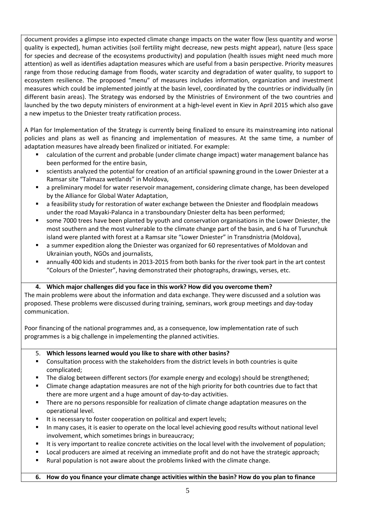document provides a glimpse into expected climate change impacts on the water flow (less quantity and worse quality is expected), human activities (soil fertility might decrease, new pests might appear), nature (less space for species and decrease of the ecosystems productivity) and population (health issues might need much more attention) as well as identifies adaptation measures which are useful from a basin perspective. Priority measures range from those reducing damage from floods, water scarcity and degradation of water quality, to support to ecosystem resilience. The proposed "menu" of measures includes information, organization and investment measures which could be implemented jointly at the basin level, coordinated by the countries or individually (in different basin areas). The Strategy was endorsed by the Ministries of Environment of the two countries and launched by the two deputy ministers of environment at a high-level event in Kiev in April 2015 which also gave a new impetus to the Dniester treaty ratification process.

A Plan for Implementation of the Strategy is currently being finalized to ensure its mainstreaming into national policies and plans as well as financing and implementation of measures. At the same time, a number of adaptation measures have already been finalized or initiated. For example:

- calculation of the current and probable (under climate change impact) water management balance has been performed for the entire basin,
- scientists analyzed the potential for creation of an artificial spawning ground in the Lower Dniester at a Ramsar site "Talmaza wetlands" in Moldova,
- a preliminary model for water reservoir management, considering climate change, has been developed by the Alliance for Global Water Adaptation,
- a feasibility study for restoration of water exchange between the Dniester and floodplain meadows under the road Mayaki-Palanca in a transboundary Dniester delta has been performed;
- some 7000 trees have been planted by youth and conservation organisations in the Lower Dniester, the most southern and the most vulnerable to the climate change part of the basin, and 6 ha of Turunchuk island were planted with forest at a Ramsar site "Lower Dniester" in Transdnistria (Moldova),
- a summer expedition along the Dniester was organized for 60 representatives of Moldovan and Ukrainian youth, NGOs and journalists,
- annually 400 kids and students in 2013-2015 from both banks for the river took part in the art contest "Colours of the Dniester", having demonstrated their photographs, drawings, verses, etc.

### **4. Which major challenges did you face in this work? How did you overcome them?**

The main problems were about the information and data exchange. They were discussed and a solution was proposed. These problems were discussed during training, seminars, work group meetings and day-today communication.

Poor financing of the national programmes and, as a consequence, low implementation rate of such programmes is a big challenge in impelementing the planned activities.

- 5. **Which lessons learned would you like to share with other basins?**
- Consultation process with the stakeholders from the district levels in both countries is quite complicated;
- The dialog between different sectors (for example energy and ecology) should be strengthened;
- Climate change adaptation measures are not of the high priority for both countries due to fact that there are more urgent and a huge amount of day-to-day activities.
- **There are no persons responsible for realization of climate change adaptation measures on the** operational level.
- It is necessary to foster cooperation on political and expert levels;
- In many cases, it is easier to operate on the local level achieving good results without national level involvement, which sometimes brings in bureaucracy;
- It is very important to realize concrete activities on the local level with the involvement of population;
- **Local producers are aimed at receiving an immediate profit and do not have the strategic approach;**
- Rural population is not aware about the problems linked with the climate change.

**6. How do you finance your climate change activities within the basin? How do you plan to finance**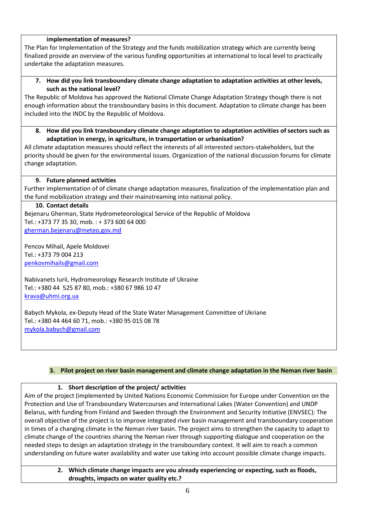#### **implementation of measures?**

The Plan for Implementation of the Strategy and the funds mobilization strategy which are currently being finalized provide an overview of the various funding opportunities at international to local level to practically undertake the adaptation measures.

**7. How did you link transboundary climate change adaptation to adaptation activities at other levels, such as the national level?**

The Republic of Moldova has approved the National Climate Change Adaptation Strategy though there is not enough information about the transboundary basins in this document. Adaptation to climate change has been included into the INDC by the Republic of Moldova.

**8. How did you link transboundary climate change adaptation to adaptation activities of sectors such as adaptation in energy, in agriculture, in transportation or urbanisation?** 

All climate adaptation measures should reflect the interests of all interested sectors-stakeholders, but the priority should be given for the environmental issues. Organization of the national discussion forums for climate change adaptation.

#### **9. Future planned activities**

Further implementation of of climate change adaptation measures, finalization of the implementation plan and the fund mobilization strategy and their mainstreaming into national policy.

#### **10. Contact details**

Bejenaru Gherman, State Hydrometeorological Service of the Republic of Moldova Tel.: +373 77 35 30, mob. : + 373 600 64 000 [gherman.bejenaru@meteo.gov.md](mailto:gherman.bejenaru@meteo.gov.md)

Pencov Mihail, Apele Moldovei Tel.: +373 79 004 213 [penkovmihails@gmail.com](https://webmail.osce.org/owa/redir.aspx?SURL=aQj7tIjSsSnTuzMwq0y2ahmTDDdr9pgUqtPey6sT1Igc5-NcfFHTCG0AYQBpAGwAdABvADoAcABlAG4AawBvAHYAbQBpAGgAYQBpAGwAcwBAAGcAbQBhAGkAbAAuAGMAbwBtAA..&URL=mailto%3apenkovmihails%40gmail.com)

Nabivanets Iurii, Hydromeorology Research Institute of Ukraine Tel.: +380 44 525 87 80, mob.: +380 67 986 10 47 [krava@uhmi.org.ua](mailto:krava@uhmi.org.ua)

Babych Mykola, ex-Deputy Head of the State Water Management Committee of Ukriane Tel.: +380 44 464 60 71, mob.: +380 95 015 08 78 [mykola.babych@gmail.com](mailto:mykola.babych@gmail.com)

#### **3. Pilot project on river basin management and climate change adaptation in the Neman river basin**

#### **1. Short description of the project/ activities**

Aim of the project (implemented by United Nations Economic Commission for Europe under Convention on the Protection and Use of Transboundary Watercourses and International Lakes (Water Convention) and UNDP Belarus, with funding from Finland and Sweden through the Environment and Security Initiative (ENVSEC): The overall objective of the project is to improve integrated river basin management and transboundary cooperation in times of a changing climate in the Neman river basin. The project aims to strengthen the capacity to adapt to climate change of the countries sharing the Neman river through supporting dialogue and cooperation on the needed steps to design an adaptation strategy in the transboundary context. It will aim to reach a common understanding on future water availability and water use taking into account possible climate change impacts.

#### **2. Which climate change impacts are you already experiencing or expecting, such as floods, droughts, impacts on water quality etc.?**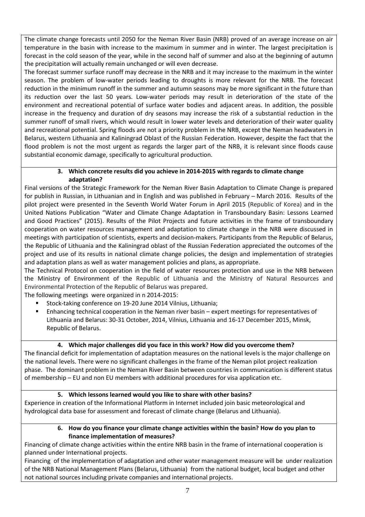The climate change forecasts until 2050 for the Neman River Basin (NRB) proved of an average increase on air temperature in the basin with increase to the maximum in summer and in winter. The largest precipitation is forecast in the cold season of the year, while in the second half of summer and also at the beginning of autumn the precipitation will actually remain unchanged or will even decrease.

The forecast summer surface runoff may decrease in the NRB and it may increase to the maximum in the winter season. The problem of low-water periods leading to droughts is more relevant for the NRB. The forecast reduction in the minimum runoff in the summer and autumn seasons may be more significant in the future than its reduction over the last 50 years. Low-water periods may result in deterioration of the state of the environment and recreational potential of surface water bodies and adjacent areas. In addition, the possible increase in the frequency and duration of dry seasons may increase the risk of a substantial reduction in the summer runoff of small rivers, which would result in lower water levels and deterioration of their water quality and recreational potential. Spring floods are not a priority problem in the NRB, except the Neman headwaters in Belarus, western Lithuania and Kaliningrad Oblast of the Russian Federation. However, despite the fact that the flood problem is not the most urgent as regards the larger part of the NRB, it is relevant since floods cause substantial economic damage, specifically to agricultural production.

#### **3. Which concrete results did you achieve in 2014-2015 with regards to climate change adaptation?**

Final versions of the Strategic Framework for the Neman River Basin Adaptation to Climate Change is prepared for publish in Russian, in Lithuanian and in English and was published in February – March 2016. Results of the pilot project were presented in the Seventh World Water Forum in April 2015 (Republic of Korea) and in the United Nations Publication "Water and Climate Change Adaptation in Transboundary Basin: Lessons Learned and Good Practices" (2015). Results of the Pilot Projects and future activities in the frame of transboundary cooperation on water resources management and adaptation to climate change in the NRB were discussed in meetings with participation of scientists, experts and decision-makers. Participants from the Republic of Belarus, the Republic of Lithuania and the Kaliningrad oblast of the Russian Federation appreciated the outcomes of the project and use of its results in national climate change policies, the design and implementation of strategies and adaptation plans as well as water management policies and plans, as appropriate.

The Technical Protocol on cooperation in the field of water resources protection and use in the NRB between the Ministry of Environment of the Republic of Lithuania and the Ministry of Natural Resources and Environmental Protection of the Republic of Belarus was prepared.

The following meetings were organized in n 2014-2015:

- Stock-taking conference on 19-20 June 2014 Vilnius, Lithuania;
- Enhancing technical cooperation in the Neman river basin expert meetings for representatives of Lithuania and Belarus: 30-31 October, 2014, Vilnius, Lithuania and 16-17 December 2015, Minsk, Republic of Belarus.

### **4. Which major challenges did you face in this work? How did you overcome them?**

The financial deficit for implementation of adaptation measures on the national levels is the major challenge on the national levels. There were no significant challenges in the frame of the Neman pilot project realization phase. The dominant problem in the Neman River Basin between countries in communication is different status of membership – EU and non EU members with additional procedures for visa application etc.

### **5. Which lessons learned would you like to share with other basins?**

Experience in creation of the Informational Platform in Internet included join basic meteorological and hydrological data base for assessment and forecast of climate change (Belarus and Lithuania).

#### **6. How do you finance your climate change activities within the basin? How do you plan to finance implementation of measures?**

Financing of climate change activities within the entire NRB basin in the frame of international cooperation is planned under International projects.

Financing of the implementation of adaptation and other water management measure will be under realization of the NRB National Management Plans (Belarus, Lithuania) from the national budget, local budget and other not national sources including private companies and international projects.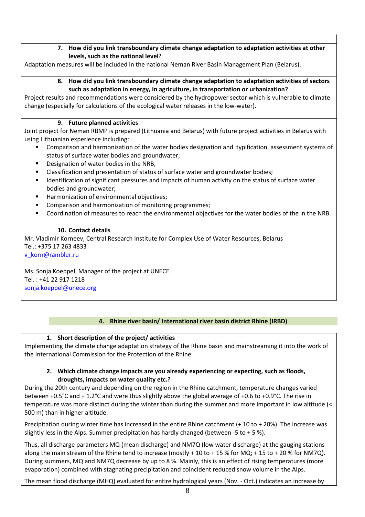### **7. How did you link transboundary climate change adaptation to adaptation activities at other levels, such as the national level?**

Adaptation measures will be included in the national Neman River Basin Management Plan (Belarus).

#### **8. How did you link transboundary climate change adaptation to adaptation activities of sectors such as adaptation in energy, in agriculture, in transportation or urbanization?**

Project results and recommendations were considered by the hydropower sector which is vulnerable to climate change (especially for calculations of the ecological water releases in the low-water).

#### **9. Future planned activities**

Joint project for Neman RBMP is prepared (Lithuania and Belarus) with future project activities in Belarus with using Lithuanian experience including:

- Comparison and harmonization of the water bodies designation and typification, assessment systems of status of surface water bodies and groundwater;
- Designation of water bodies in the NRB;
- Classification and presentation of status of surface water and groundwater bodies;
- **IDENTIFICATES IDENTIFICATE STATE:** Identificant pressures and impacts of human activity on the status of surface water bodies and groundwater;
- Harmonization of environmental objectives;
- **EXECOMPARISON 2012** Comparison and harmonization of monitoring programmes;
- Coordination of measures to reach the environmental objectives for the water bodies of the in the NRB.

#### **10. Contact details**

Mr. Vladimir Korneev, Central Research Institute for Complex Use of Water Resources, Belarus Tel.: +375 17 263 4833

[v\\_korn@rambler.ru](mailto:v_korn@rambler.ru)

Ms. Sonja Koeppel, Manager of the project at UNECE Tel. : +41 22 917 1218 [sonja.koeppel@unece.org](mailto:sonja.koeppel@unece.org)

### **4. Rhine river basin/ International river basin district Rhine (IRBD)**

### **1. Short description of the project/ activities**

Implementing the climate change adaptation strategy of the Rhine basin and mainstreaming it into the work of the International Commission for the Protection of the Rhine.

#### **2. Which climate change impacts are you already experiencing or expecting, such as floods, droughts, impacts on water quality etc.?**

During the 20th century and depending on the region in the Rhine catchment, temperature changes varied between +0.5°C and + 1.2°C and were thus slightly above the global average of +0.6 to +0.9°C. The rise in temperature was more distinct during the winter than during the summer and more important in low altitude (< 500 m) than in higher altitude.

Precipitation during winter time has increased in the entire Rhine catchment (+ 10 to + 20%). The increase was slightly less in the Alps. Summer precipitation has hardly changed (between -5 to + 5 %).

Thus, all discharge parameters MQ (mean discharge) and NM7Q (low water discharge) at the gauging stations along the main stream of the Rhine tend to increase (mostly + 10 to + 15 % for MQ; + 15 to + 20 % for NM7Q). During summers, MQ and NM7Q decrease by up to 8 %. Mainly, this is an effect of rising temperatures (more evaporation) combined with stagnating precipitation and coincident reduced snow volume in the Alps.

The mean flood discharge (MHQ) evaluated for entire hydrological years (Nov. - Oct.) indicates an increase by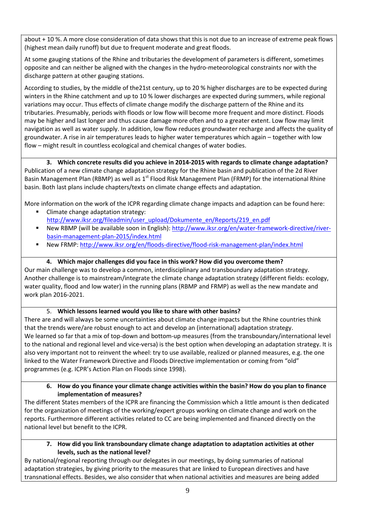about + 10 %. A more close consideration of data shows that this is not due to an increase of extreme peak flows (highest mean daily runoff) but due to frequent moderate and great floods.

At some gauging stations of the Rhine and tributaries the development of parameters is different, sometimes opposite and can neither be aligned with the changes in the hydro-meteorological constraints nor with the discharge pattern at other gauging stations.

According to studies, by the middle of the21st century, up to 20 % higher discharges are to be expected during winters in the Rhine catchment and up to 10 % lower discharges are expected during summers, while regional variations may occur. Thus effects of climate change modify the discharge pattern of the Rhine and its tributaries. Presumably, periods with floods or low flow will become more frequent and more distinct. Floods may be higher and last longer and thus cause damage more often and to a greater extent. Low flow may limit navigation as well as water supply. In addition, low flow reduces groundwater recharge and affects the quality of groundwater. A rise in air temperatures leads to higher water temperatures which again – together with low flow – might result in countless ecological and chemical changes of water bodies.

**3. Which concrete results did you achieve in 2014-2015 with regards to climate change adaptation?**  Publication of a new climate change adaptation strategy for the Rhine basin and publication of the 2d River Basin Management Plan (RBMP) as well as 1<sup>st</sup> Flood Risk Management Plan (FRMP) for the international Rhine basin. Both last plans include chapters/texts on climate change effects and adaptation.

More information on the work of the ICPR regarding climate change impacts and adaption can be found here:

- Climate change adaptation strategy: [http://www.iksr.org/fileadmin/user\\_upload/Dokumente\\_en/Reports/219\\_en.pdf](http://www.iksr.org/fileadmin/user_upload/Dokumente_en/Reports/219_en.pdf)
- New RBMP (will be available soon in English)[: http://www.iksr.org/en/water-framework-directive/river](http://www.iksr.org/en/water-framework-directive/river-basin-management-plan-2015/index.html)[basin-management-plan-2015/index.html](http://www.iksr.org/en/water-framework-directive/river-basin-management-plan-2015/index.html)
- New FRMP:<http://www.iksr.org/en/floods-directive/flood-risk-management-plan/index.html>

### **4. Which major challenges did you face in this work? How did you overcome them?**

Our main challenge was to develop a common, interdisciplinary and transboundary adaptation strategy. Another challenge is to mainstream/integrate the climate change adaptation strategy (different fields: ecology, water quality, flood and low water) in the running plans (RBMP and FRMP) as well as the new mandate and work plan 2016-2021.

### 5. **Which lessons learned would you like to share with other basins?**

There are and will always be some uncertainties about climate change impacts but the Rhine countries think that the trends were/are robust enough to act and develop an (international) adaptation strategy. We learned so far that a mix of top-down and bottom-up measures (from the transboundary/international level to the national and regional level and vice-versa) is the best option when developing an adaptation strategy. It is also very important not to reinvent the wheel: try to use available, realized or planned measures, e.g. the one linked to the Water Framework Directive and Floods Directive implementation or coming from "old" programmes (e.g. ICPR's Action Plan on Floods since 1998).

#### **6. How do you finance your climate change activities within the basin? How do you plan to finance implementation of measures?**

The different States members of the ICPR are financing the Commission which a little amount is then dedicated for the organization of meetings of the working/expert groups working on climate change and work on the reports. Furthermore different activities related to CC are being implemented and financed directly on the national level but benefit to the ICPR.

**7. How did you link transboundary climate change adaptation to adaptation activities at other levels, such as the national level?**

By national/regional reporting through our delegates in our meetings, by doing summaries of national adaptation strategies, by giving priority to the measures that are linked to European directives and have transnational effects. Besides, we also consider that when national activities and measures are being added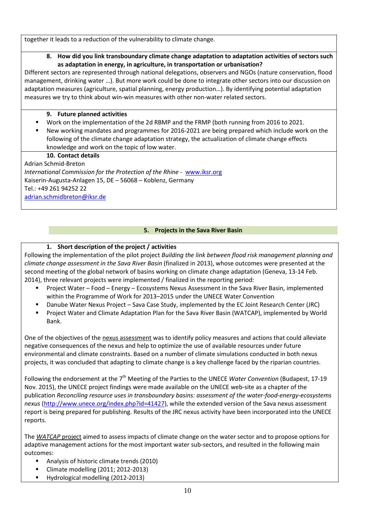together it leads to a reduction of the vulnerability to climate change.

#### **8. How did you link transboundary climate change adaptation to adaptation activities of sectors such as adaptation in energy, in agriculture, in transportation or urbanisation?**

Different sectors are represented through national delegations, observers and NGOs (nature conservation, flood management, drinking water …). But more work could be done to integrate other sectors into our discussion on adaptation measures (agriculture, spatial planning, energy production…). By identifying potential adaptation measures we try to think about win-win measures with other non-water related sectors.

### **9. Future planned activities**

- Work on the implementation of the 2d RBMP and the FRMP (both running from 2016 to 2021.
- New working mandates and programmes for 2016-2021 are being prepared which include work on the following of the climate change adaptation strategy, the actualization of climate change effects knowledge and work on the topic of low water.

### **10. Contact details**

Adrian Schmid-Breton *International Commission for the Protection of the Rhine -* [www.iksr.org](http://www.iksr.org/) Kaiserin-Augusta-Anlagen 15, DE – 56068 – Koblenz, Germany Tel.: +49 261 94252 22 [adrian.schmidbreton@iksr.de](mailto:adrian.schmidbreton@iksr.de)

### **5. Projects in the Sava River Basin**

# **1. Short description of the project / activities**

Following the implementation of the pilot project *Building the link between flood risk management planning and climate change assessment in the Sava River Basin* (finalized in 2013), whose outcomes were presented at the second meeting of the global network of basins working on climate change adaptation (Geneva, 13-14 Feb. 2014), three relevant projects were implemented / finalized in the reporting period:

- Project Water Food Energy Ecosystems Nexus Assessment in the Sava River Basin, implemented within the Programme of Work for 2013–2015 under the UNECE Water Convention
- Danube Water Nexus Project Sava Case Study, implemented by the EC Joint Research Center (JRC)
- Project Water and Climate Adaptation Plan for the Sava River Basin (WATCAP), implemented by World Bank.

One of the objectives of the nexus assessment was to identify policy measures and actions that could alleviate negative consequences of the nexus and help to optimize the use of available resources under future environmental and climate constraints. Based on a number of climate simulations conducted in both nexus projects, it was concluded that adapting to climate change is a key challenge faced by the riparian countries.

Following the endorsement at the 7<sup>th</sup> Meeting of the Parties to the UNECE Water Convention (Budapest, 17-19 Nov. 2015), the UNECE project findings were made available on the UNECE web-site as a chapter of the publication *Reconciling resource uses in transboundary basins: assessment of the water-food-energy-ecosystems nexus* [\(http://www.unece.org/index.php?id=41427\)](http://www.unece.org/index.php?id=41427), while the extended version of the Sava nexus assessment report is being prepared for publishing. Results of the JRC nexus activity have been incorporated into the UNECE reports.

The *WATCAP* project aimed to assess impacts of climate change on the water sector and to propose options for adaptive management actions for the most important water sub-sectors, and resulted in the following main outcomes:

- Analysis of historic climate trends (2010)
- **E** Climate modelling (2011; 2012-2013)
- Hydrological modelling (2012-2013)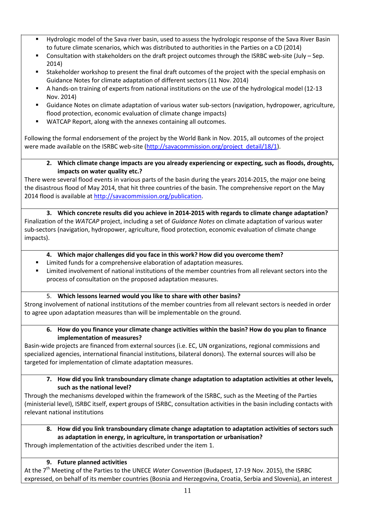- Hydrologic model of the Sava river basin, used to assess the hydrologic response of the Sava River Basin to future climate scenarios, which was distributed to authorities in the Parties on a CD (2014)
- Consultation with stakeholders on the draft project outcomes through the ISRBC web-site (July Sep. 2014)
- Stakeholder workshop to present the final draft outcomes of the project with the special emphasis on Guidance Notes for climate adaptation of different sectors (11 Nov. 2014)
- A hands-on training of experts from national institutions on the use of the hydrological model (12-13 Nov. 2014)
- Guidance Notes on climate adaptation of various water sub-sectors (navigation, hydropower, agriculture, flood protection, economic evaluation of climate change impacts)
- WATCAP Report, along with the annexes containing all outcomes.

Following the formal endorsement of the project by the World Bank in Nov. 2015, all outcomes of the project were made available on the ISRBC web-site [\(http://savacommission.org/project\\_detail/18/1\)](http://savacommission.org/project_detail/18/1).

**2. Which climate change impacts are you already experiencing or expecting, such as floods, droughts, impacts on water quality etc.?**

There were several flood events in various parts of the basin during the years 2014-2015, the major one being the disastrous flood of May 2014, that hit three countries of the basin. The comprehensive report on the May 2014 flood is available at [http://savacommission.org/publication.](http://savacommission.org/publication)

**3. Which concrete results did you achieve in 2014-2015 with regards to climate change adaptation?**  Finalization of the *WATCAP* project, including a set of *Guidance Notes* on climate adaptation of various water sub-sectors (navigation, hydropower, agriculture, flood protection, economic evaluation of climate change impacts).

- **4. Which major challenges did you face in this work? How did you overcome them?**
- Limited funds for a comprehensive elaboration of adaptation measures.
- Limited involvement of national institutions of the member countries from all relevant sectors into the process of consultation on the proposed adaptation measures.

### 5. **Which lessons learned would you like to share with other basins?**

Strong involvement of national institutions of the member countries from all relevant sectors is needed in order to agree upon adaptation measures than will be implementable on the ground.

#### **6. How do you finance your climate change activities within the basin? How do you plan to finance implementation of measures?**

Basin-wide projects are financed from external sources (i.e. EC, UN organizations, regional commissions and specialized agencies, international financial institutions, bilateral donors). The external sources will also be targeted for implementation of climate adaptation measures.

**7. How did you link transboundary climate change adaptation to adaptation activities at other levels, such as the national level?**

Through the mechanisms developed within the framework of the ISRBC, such as the Meeting of the Parties (ministerial level), ISRBC itself, expert groups of ISRBC, consultation activities in the basin including contacts with relevant national institutions

#### **8. How did you link transboundary climate change adaptation to adaptation activities of sectors such as adaptation in energy, in agriculture, in transportation or urbanisation?**

Through implementation of the activities described under the item 1.

# **9. Future planned activities**

At the 7th Meeting of the Parties to the UNECE *Water Convention* (Budapest, 17-19 Nov. 2015), the ISRBC expressed, on behalf of its member countries (Bosnia and Herzegovina, Croatia, Serbia and Slovenia), an interest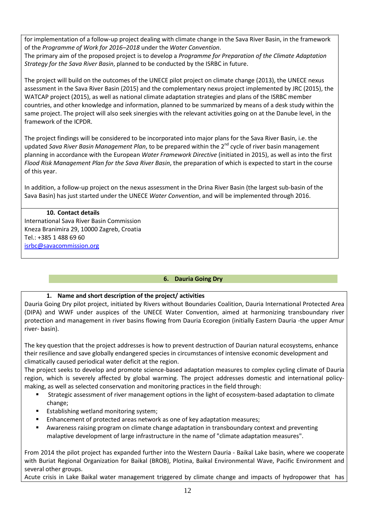for implementation of a follow-up project dealing with climate change in the Sava River Basin, in the framework of the *Programme of Work for 2016–2018* under the *Water Convention*.

The primary aim of the proposed project is to develop a *Programme for Preparation of the Climate Adaptation Strategy for the Sava River Basin*, planned to be conducted by the ISRBC in future.

The project will build on the outcomes of the UNECE pilot project on climate change (2013), the UNECE nexus assessment in the Sava River Basin (2015) and the complementary nexus project implemented by JRC (2015), the WATCAP project (2015), as well as national climate adaptation strategies and plans of the ISRBC member countries, and other knowledge and information, planned to be summarized by means of a desk study within the same project. The project will also seek sinergies with the relevant activities going on at the Danube level, in the framework of the ICPDR.

The project findings will be considered to be incorporated into major plans for the Sava River Basin, i.e. the updated Sava River Basin Management Plan, to be prepared within the 2<sup>nd</sup> cycle of river basin management planning in accordance with the European *Water Framework Directive* (initiated in 2015), as well as into the first *Flood Risk Management Plan for the Sava River Basin*, the preparation of which is expected to start in the course of this year.

In addition, a follow-up project on the nexus assessment in the Drina River Basin (the largest sub-basin of the Sava Basin) has just started under the UNECE *Water Convention*, and will be implemented through 2016.

# **10. Contact details**

International Sava River Basin Commission Kneza Branimira 29, 10000 Zagreb, Croatia Tel.: +385 1 488 69 60 [isrbc@savacommission.org](mailto:isrbc@savacommission.org)

# **6. Dauria Going Dry**

### **1. Name and short description of the project/ activities**

Dauria Going Dry pilot project, initiated by Rivers without Boundaries Coalition, Dauria International Protected Area (DIPA) and WWF under auspices of the UNECE Water Convention, aimed at harmonizing transboundary river protection and management in river basins flowing from Dauria Ecoregion (initially Eastern Dauria -the upper Amur river- basin).

The key question that the project addresses is how to prevent destruction of Daurian natural ecosystems, enhance their resilience and save globally endangered species in circumstances of intensive economic development and climatically caused periodical water deficit at the region.

The project seeks to develop and promote science-based adaptation measures to complex cycling climate of Dauria region, which is severely affected by global warming. The project addresses domestic and international policymaking, as well as selected conservation and monitoring practices in the field through:

- Strategic assessment of river management options in the light of ecosystem-based adaptation to climate change;
- **Establishing wetland monitoring system;**
- **Enhancement of protected areas network as one of key adaptation measures;**
- Awareness raising program on climate change adaptation in transboundary context and preventing malaptive development of large infrastructure in the name of "climate adaptation measures".

From 2014 the pilot project has expanded further into the Western Dauria - Baikal Lake basin, where we cooperate with Buriat Regional Organization for Baikal (BROB), Plotina, Baikal Environmental Wave, Pacific Environment and several other groups.

Acute crisis in Lake Baikal water management triggered by climate change and impacts of hydropower that has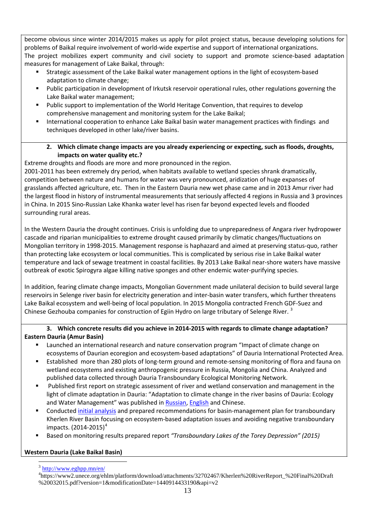become obvious since winter 2014/2015 makes us apply for pilot project status, because developing solutions for problems of Baikal require involvement of world-wide expertise and support of international organizations. The project mobilizes expert community and civil society to support and promote science-based adaptation measures for management of Lake Baikal, through:

- Strategic assessment of the Lake Baikal water management options in the light of ecosystem-based adaptation to climate change;
- Public participation in development of Irkutsk reservoir operational rules, other regulations governing the Lake Baikal water management;
- Public support to implementation of the World Heritage Convention, that requires to develop comprehensive management and monitoring system for the Lake Baikal;
- International cooperation to enhance Lake Baikal basin water management practices with findings and techniques developed in other lake/river basins.

#### **2. Which climate change impacts are you already experiencing or expecting, such as floods, droughts, impacts on water quality etc.?**

Extreme droughts and floods are more and more pronounced in the region.

2001-2011 has been extremely dry period, when habitats available to wetland species shrank dramatically, competition between nature and humans for water was very pronounced, aridization of huge expanses of grasslands affected agriculture, etc. Then in the Eastern Dauria new wet phase came and in 2013 Amur river had the largest flood in history of instrumental measurements that seriously affected 4 regions in Russia and 3 provinces in China. In 2015 Sino-Russian Lake Khanka water level has risen far beyond expected levels and flooded surrounding rural areas.

In the Western Dauria the drought continues. Crisis is unfolding due to unpreparedness of Angara river hydropower cascade and riparian municipalities to extreme drought caused primarily by climatic changes/fluctuations on Mongolian territory in 1998-2015. Management response is haphazard and aimed at preserving status-quo, rather than protecting lake ecosystem or local communities. This is complicated by serious rise in Lake Baikal water temperature and lack of sewage treatment in coastal facilities. By 2013 Lake Baikal near-shore waters have massive outbreak of exotic Spirogyra algae killing native sponges and other endemic water-purifying species.

In addition, fearing climate change impacts, Mongolian Government made unilateral decision to build several large reservoirs in Selenge river basin for electricity generation and inter-basin water transfers, which further threatens Lake Baikal ecosystem and well-being of local population. In 2015 Mongolia contracted French GDF-Suez and Chinese Gezhouba companies for construction of Egiin Hydro on large tributary of Selenge River.<sup>[3](#page-12-0)</sup>

#### **3. Which concrete results did you achieve in 2014-2015 with regards to climate change adaptation? Eastern Dauria (Amur Basin)**

- Launched an international research and nature conservation program "Impact of climate change on ecosystems of Daurian ecoregion and ecosystem-based adaptations" of Dauria International Protected Area.
- Established more than 280 plots of long-term ground and remote-sensing monitoring of flora and fauna on wetland ecosystems and existing anthropogenic pressure in Russia, Mongolia and China. Analyzed and published data collected through Dauria Transboundary Ecological Monitoring Network.
- Published first report on strategic assessment of river and wetland conservation and management in the light of climate adaptation in Dauria: "Adaptation to climate change in the river basins of Dauria: Ecology and Water Management" was published in [Russian,](http://www.wwf.ru/resources/publ/book/713) [English](http://www.wwf.ru/resources/publ/book/eng/782) and Chinese.
- **Conducted [initial analysis](https://www2.unece.org/ehlm/platform/download/attachments/32702467/Kherlen%20RiverReport_%20Final%20Draft%20032015.pdf?version=1&modificationDate=1440914433190&api=v2) and prepared recommendations for basin-management plan for transboundary** Kherlen River Basin focusing on ecosystem-based adaptation issues and avoiding negative transboundary impacts.  $(2014 - 2015)^4$  $(2014 - 2015)^4$  $(2014 - 2015)^4$
- Based on monitoring results prepared report *"Transboundary Lakes of the Torey Depression" (2015)*

# <span id="page-12-1"></span><span id="page-12-0"></span>**Western Dauria (Lake Baikal Basin)**

 $3$  <http://www.eghpp.mn/en/>

<sup>4</sup> https://www2.unece.org/ehlm/platform/download/attachments/32702467/Kherlen%20RiverReport\_%20Final%20Draft %20032015.pdf?version=1&modificationDate=1440914433190&api=v2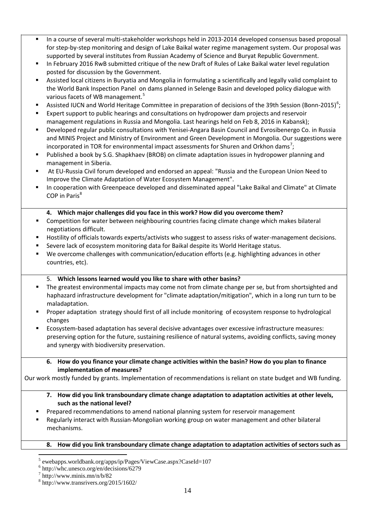- In a course of several multi-stakeholder workshops held in 2013-2014 developed consensus based proposal for step-by-step monitoring and design of Lake Baikal water regime management system. Our proposal was supported by several institutes from Russian Academy of Science and Buryat Republic Government.
- In February 2016 RwB submitted critique of the new Draft of Rules of Lake Baikal water level regulation posted for discussion by the Government.
- Assisted local citizens in Buryatia and Mongolia in formulating a scientifically and legally valid complaint to the World Bank Inspection Panel on dams planned in Selenge Basin and developed policy dialogue with various facets of WB management.<sup>[5](#page-13-0)</sup>
- Assisted IUCN and World Heritage Committee in preparation of decisions of the 39th Session (Bonn-2015)<sup>[6](#page-13-1)</sup>;
- Expert support to public hearings and consultations on hydropower dam projects and reservoir management regulations in Russia and Mongolia. Last hearings held on Feb 8, 2016 in Kabansk);
- Developed regular public consultations with Yenisei-Angara Basin Council and Evrosibenergo Co. in Russia and MINIS Project and Ministry of Environment and Green Development in Mongolia. Our suggestions were incorporated in TOR for environmental impact assessments for Shuren and Orkhon dams<sup>[7](#page-13-2)</sup>;
- Published a book by S.G. Shapkhaev (BROB) on climate adaptation issues in hydropower planning and management in Siberia.
- At EU-Russia Civil forum developed and endorsed an appeal: "Russia and the European Union Need to Improve the Climate Adaptation of Water Ecosystem Management".
- In cooperation with Greenpeace developed and disseminated appeal "Lake Baikal and Climate" at Climate COP in Paris<sup>[8](#page-13-3)</sup>

#### **4. Which major challenges did you face in this work? How did you overcome them?**

- Competition for water between neighbouring countries facing climate change which makes bilateral negotiations difficult.
- Hostility of officials towards experts/activists who suggest to assess risks of water-management decisions.
- Severe lack of ecosystem monitoring data for Baikal despite its World Heritage status.
- We overcome challenges with communication/education efforts (e.g. highlighting advances in other countries, etc).

#### 5. **Which lessons learned would you like to share with other basins?**

- The greatest environmental impacts may come not from climate change per se, but from shortsighted and haphazard infrastructure development for "climate adaptation/mitigation", which in a long run turn to be maladaptation.
- **Proper adaptation strategy should first of all include monitoring of ecosystem response to hydrological** changes
- Ecosystem-based adaptation has several decisive advantages over excessive infrastructure measures: preserving option for the future, sustaining resilience of natural systems, avoiding conflicts, saving money and synergy with biodiversity preservation.

#### **6. How do you finance your climate change activities within the basin? How do you plan to finance implementation of measures?**

Our work mostly funded by grants. Implementation of recommendations is reliant on state budget and WB funding.

#### **7. How did you link transboundary climate change adaptation to adaptation activities at other levels, such as the national level?**

- Prepared recommendations to amend national planning system for reservoir management
- Regularly interact with Russian-Mongolian working group on water management and other bilateral mechanisms.

#### **8. How did you link transboundary climate change adaptation to adaptation activities of sectors such as**

<span id="page-13-0"></span> <sup>5</sup> ewebapps.worldbank.org/apps/ip/Pages/ViewCase.aspx?CaseId=107

<span id="page-13-1"></span> $\frac{6}{7}$  http://whc.unesco.org/en/decisions/6279<br> $\frac{7}{7}$  http://www.minis.mn/n/b/82

<span id="page-13-2"></span>

<span id="page-13-3"></span><sup>8</sup> http://www.transrivers.org/2015/1602/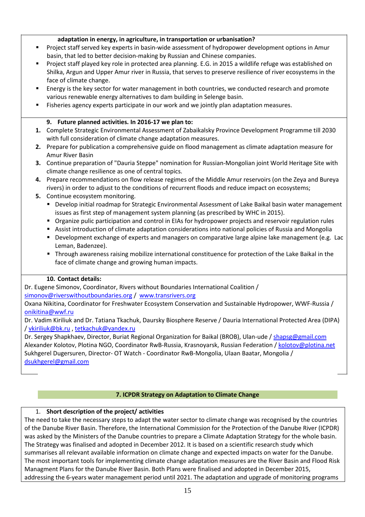#### **adaptation in energy, in agriculture, in transportation or urbanisation?**

- **Project staff served key experts in basin-wide assessment of hydropower development options in Amur** basin, that led to better decision-making by Russian and Chinese companies.
- Project staff played key role in protected area planning. E.G. in 2015 a wildlife refuge was established on Shilka, Argun and Upper Amur river in Russia, that serves to preserve resilience of river ecosystems in the face of climate change.
- Energy is the key sector for water management in both countries, we conducted research and promote various renewable energy alternatives to dam building in Selenge basin.
- Fisheries agency experts participate in our work and we jointly plan adaptation measures.

#### **9. Future planned activities. In 2016-17 we plan to:**

- **1.** Complete Strategic Environmental Assessment of Zabaikalsky Province Development Programme till 2030 with full consideration of climate change adaptation measures.
- **2.** Prepare for publication a comprehensive guide on flood management as climate adaptation measure for Amur River Basin
- **3.** Continue preparation of "Dauria Steppe" nomination for Russian-Mongolian joint World Heritage Site with climate change resilience as one of central topics.
- **4.** Prepare recommendations on flow release regimes of the Middle Amur reservoirs (on the Zeya and Bureya rivers) in order to adjust to the conditions of recurrent floods and reduce impact on ecosystems;
- **5.** Continue ecosystem monitoring.
	- Develop initial roadmap for Strategic Environmental Assessment of Lake Baikal basin water management issues as first step of management system planning (as prescribed by WHC in 2015).
	- Organize pulic participation and control in EIAs for hydropower projects and reservoir regulation rules
	- Assist introduction of climate adaptation considerations into national policies of Russia and Mongolia
	- **Development exchange of experts and managers on comparative large alpine lake management (e.g. Lacture 1)** Leman, Badenzee).
	- Through awareness raising mobilize international constituence for protection of the Lake Baikal in the face of climate change and growing human impacts.

#### **10. Contact details:**

Dr. Eugene Simonov, Coordinator, Rivers without Boundaries International Coalition / [simonov@riverswithoutboundaries.org](mailto:simonov@riverswithoutboundaries.org) / www.transrivers.org

Oxana Nikitina, Coordinator for Freshwater Ecosystem Conservation and Sustainable Hydropower, WWF-Russia / [onikitina@wwf.ru](mailto:onikitina@wwf.ru)

Dr. Vadim Kiriliuk and Dr. Tatiana Tkachuk, Daursky Biosphere Reserve / Dauria International Protected Area (DIPA) [/ vkiriliuk@bk.ru](mailto:vkiriliuk@bk.ru) , [tetkachuk@yandex.ru](mailto:tetkachuk@yandex.ru)

Dr. Sergey Shapkhaev, Director, Buriat Regional Organization for Baikal (BROB), Ulan-ude / shapsg@gmail.com Alexander Kolotov, Plotina NGO, Coordinator RwB-Russia, Krasnoyarsk, Russian Federation / kolotov@plotina.net Sukhgerel Dugersuren, Director- OT Watch - Coordinator RwB-Mongolia, Ulaan Baatar, Mongolia / dsukhgerel@gmail.com

#### **7. ICPDR Strategy on Adaptation to Climate Change**

### 1. **Short description of the project/ activities**

The need to take the necessary steps to adapt the water sector to climate change was recognised by the countries of the Danube River Basin. Therefore, the International Commission for the Protection of the Danube River (ICPDR) was asked by the Ministers of the Danube countries to prepare a Climate Adaptation Strategy for the whole basin. The Strategy was finalised and adopted in December 2012. It is based on a scientific research study which summarises all relevant available information on climate change and expected impacts on water for the Danube. The most important tools for implementing climate change adaptation measures are the River Basin and Flood Risk Managment Plans for the Danube River Basin. Both Plans were finalised and adopted in December 2015, addressing the 6-years water management period until 2021. The adaptation and upgrade of monitoring programs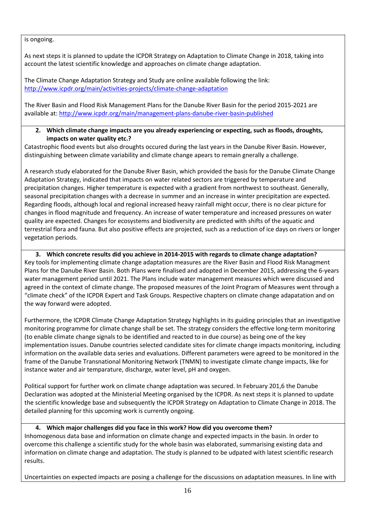is ongoing.

As next steps it is planned to update the ICPDR Strategy on Adaptation to Climate Change in 2018, taking into account the latest scientific knowledge and approaches on climate change adaptation.

The Climate Change Adaptation Strategy and Study are online available following the link: <http://www.icpdr.org/main/activities-projects/climate-change-adaptation>

The River Basin and Flood Risk Management Plans for the Danube River Basin for the period 2015-2021 are available at[: http://www.icpdr.org/main/management-plans-danube-river-basin-published](http://www.icpdr.org/main/management-plans-danube-river-basin-published)

#### **2. Which climate change impacts are you already experiencing or expecting, such as floods, droughts, impacts on water quality etc.?**

Catastrophic flood events but also droughts occured during the last years in the Danube River Basin. However, distinguishing between climate variability and climate change apears to remain gnerally a challenge.

A research study elaborated for the Danube River Basin, which provided the basis for the Danube Climate Change Adaptation Strategy, indicated that impacts on water related sectors are triggered by temperature and precipitation changes. Higher temperature is expected with a gradient from northwest to southeast. Generally, seasonal precipitation changes with a decrease in summer and an increase in winter precipitation are expected. Regarding floods, although local and regional increased heavy rainfall might occur, there is no clear picture for changes in flood magnitude and frequency. An increase of water temperature and increased pressures on water quality are expected. Changes for ecosystems and biodiversity are predicted with shifts of the aquatic and terrestrial flora and fauna. But also positive effects are projected, such as a reduction of ice days on rivers or longer vegetation periods.

# **3. Which concrete results did you achieve in 2014-2015 with regards to climate change adaptation?**  Key tools for implementing climate change adaptation measures are the River Basin and Flood Risk Managment Plans for the Danube River Basin. Both Plans were finalised and adopted in December 2015, addressing the 6-years

water management period until 2021. The Plans include water management measures which were discussed and agreed in the context of climate change. The proposed measures of the Joint Program of Measures went through a "climate check" of the ICPDR Expert and Task Groups. Respective chapters on climate change adapatation and on the way forward were adopted.

Furthermore, the ICPDR Climate Change Adaptation Strategy highlights in its guiding principles that an investigative monitoring programme for climate change shall be set. The strategy considers the effective long-term monitoring (to enable climate change signals to be identified and reacted to in due course) as being one of the key implementation issues. Danube countries selected candidate sites for climate change impacts monitoring, including information on the available data series and evaluations. Different parameters were agreed to be monitored in the frame of the Danube Transnational Monitoring Network (TNMN) to investigate climate change impacts, like for instance water and air temparature, discharge, water level, pH and oxygen.

Political support for further work on climate change adaptation was secured. In February 201,6 the Danube Declaration was adopted at the Ministerial Meeting organised by the ICPDR. As next steps it is planned to update the scientific knowledge base and subsequently the ICPDR Strategy on Adaptation to Climate Change in 2018. The detailed planning for this upcoming work is currently ongoing.

# **4. Which major challenges did you face in this work? How did you overcome them?**

Inhomogenous data base and information on climate change and expected impacts in the basin. In order to overcome this challenge a scientific study for the whole basin was elaborated, summarising existing data and information on climate change and adaptation. The study is planned to be udpated with latest scientific research results.

Uncertainties on expected impacts are posing a challenge for the discussions on adaptation measures. In line with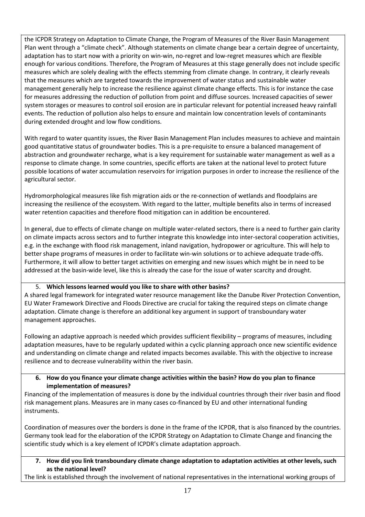the ICPDR Strategy on Adaptation to Climate Change, the Program of Measures of the River Basin Management Plan went through a "climate check". Although statements on climate change bear a certain degree of uncertainty, adaptation has to start now with a priority on win-win, no-regret and low-regret measures which are flexible enough for various conditions. Therefore, the Program of Measures at this stage generally does not include specific measures which are solely dealing with the effects stemming from climate change. In contrary, it clearly reveals that the measures which are targeted towards the improvement of water status and sustainable water management generally help to increase the resilience against climate change effects. This is for instance the case for measures addressing the reduction of pollution from point and diffuse sources. Increased capacities of sewer system storages or measures to control soil erosion are in particular relevant for potential increased heavy rainfall events. The reduction of pollution also helps to ensure and maintain low concentration levels of contaminants during extended drought and low flow conditions.

With regard to water quantity issues, the River Basin Management Plan includes measures to achieve and maintain good quantitative status of groundwater bodies. This is a pre-requisite to ensure a balanced management of abstraction and groundwater recharge, what is a key requirement for sustainable water management as well as a response to climate change. In some countries, specific efforts are taken at the national level to protect future possible locations of water accumulation reservoirs for irrigation purposes in order to increase the resilience of the agricultural sector.

Hydromorphological measures like fish migration aids or the re-connection of wetlands and floodplains are increasing the resilience of the ecosystem. With regard to the latter, multiple benefits also in terms of increased water retention capacities and therefore flood mitigation can in addition be encountered.

In general, due to effects of climate change on multiple water-related sectors, there is a need to further gain clarity on climate impacts across sectors and to further integrate this knowledge into inter-sectoral cooperation activities, e.g. in the exchange with flood risk management, inland navigation, hydropower or agriculture. This will help to better shape programs of measures in order to facilitate win-win solutions or to achieve adequate trade-offs. Furthermore, it will allow to better target activities on emerging and new issues which might be in need to be addressed at the basin-wide level, like this is already the case for the issue of water scarcity and drought.

### 5. **Which lessons learned would you like to share with other basins?**

A shared legal framework for integrated water resource management like the Danube River Protection Convention, EU Water Framework Directive and Floods Directive are crucial for taking the required steps on climate change adaptation. Climate change is therefore an additional key argument in support of transboundary water management approaches.

Following an adaptive approach is needed which provides sufficient flexibility – programs of measures, including adaptation measures, have to be regularly updated within a cyclic planning approach once new scientific evidence and understanding on climate change and related impacts becomes available. This with the objective to increase resilience and to decrease vulnerability within the river basin.

#### **6. How do you finance your climate change activities within the basin? How do you plan to finance implementation of measures?**

Financing of the implementation of measures is done by the individual countries through their river basin and flood risk management plans. Measures are in many cases co-financed by EU and other international funding instruments.

Coordination of measures over the borders is done in the frame of the ICPDR, that is also financed by the countries. Germany took lead for the elaboration of the ICPDR Strategy on Adaptation to Climate Change and financing the scientific study which is a key element of ICPDR's climate adaptation approach.

**7. How did you link transboundary climate change adaptation to adaptation activities at other levels, such as the national level?**

The link is established through the involvement of national representatives in the international working groups of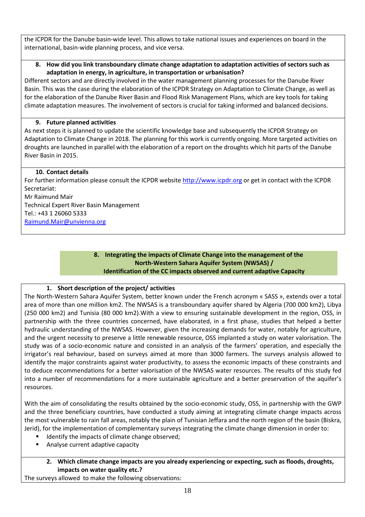the ICPDR for the Danube basin-wide level. This allows to take national issues and experiences on board in the international, basin-wide planning process, and vice versa.

#### **8. How did you link transboundary climate change adaptation to adaptation activities of sectors such as adaptation in energy, in agriculture, in transportation or urbanisation?**

Different sectors and are directly involved in the water management planning processes for the Danube River Basin. This was the case during the elaboration of the ICPDR Strategy on Adaptation to Climate Change, as well as for the elaboration of the Danube River Basin and Flood Risk Management Plans, which are key tools for taking climate adaptation measures. The involvement of sectors is crucial for taking informed and balanced decisions.

#### **9. Future planned activities**

As next steps it is planned to update the scientific knowledge base and subsequently the ICPDR Strategy on Adaptation to Climate Change in 2018. The planning for this work is currently ongoing. More targeted activities on droughts are launched in parallel with the elaboration of a report on the droughts which hit parts of the Danube River Basin in 2015.

#### **10. Contact details**

For further information please consult the ICPDR website [http://www.icpdr.org](http://www.icpdr.org/) or get in contact with the ICPDR Secretariat:

Mr Raimund Mair Technical Expert River Basin Management Tel.: +43 1 26060 5333 [Raimund.Mair@unvienna.org](mailto:Raimund.Mair@unvienna.org)

#### **8. Integrating the impacts of Climate Change into the management of the North-Western Sahara Aquifer System (NWSAS) / Identification of the CC impacts observed and current adaptive Capacity**

### **1. Short description of the project/ activities**

The North-Western Sahara Aquifer System, better known under the French acronym « SASS », extends over a total area of more than one million km2. The NWSAS is a transboundary aquifer shared by Algeria (700 000 km2), Libya (250 000 km2) and Tunisia (80 000 km2).With a view to ensuring sustainable development in the region, OSS, in partnership with the three countries concerned, have elaborated, in a first phase, studies that helped a better hydraulic understanding of the NWSAS. However, given the increasing demands for water, notably for agriculture, and the urgent necessity to preserve a little renewable resource, OSS implanted a study on water valorisation. The study was of a socio-economic nature and consisted in an analysis of the farmers' operation, and especially the irrigator's real behaviour, based on surveys aimed at more than 3000 farmers. The surveys analysis allowed to identify the major constraints against water productivity, to assess the economic impacts of these constraints and to deduce recommendations for a better valorisation of the NWSAS water resources. The results of this study fed into a number of recommendations for a more sustainable agriculture and a better preservation of the aquifer's resources.

With the aim of consolidating the results obtained by the socio-economic study, OSS, in partnership with the GWP and the three beneficiary countries, have conducted a study aiming at integrating climate change impacts across the most vulnerable to rain fall areas, notably the plain of Tunisian Jeffara and the north region of the basin (Biskra, Jerid), for the implementation of complementary surveys integrating the climate change dimension in order to:

- Identify the impacts of climate change observed;
- Analyse current adaptive capacity
	- **2. Which climate change impacts are you already experiencing or expecting, such as floods, droughts, impacts on water quality etc.?**

The surveys allowed to make the following observations: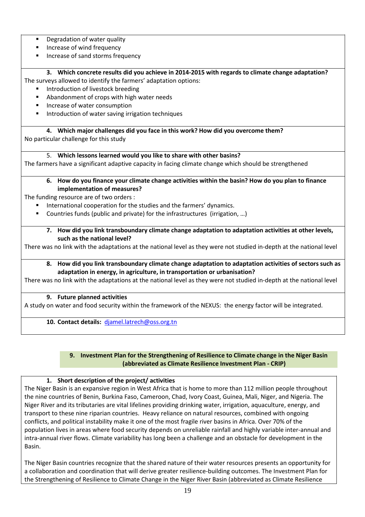- **•** Degradation of water quality
- Increase of wind frequency
- **Increase of sand storms frequency**

### **3. Which concrete results did you achieve in 2014-2015 with regards to climate change adaptation?**

The surveys allowed to identify the farmers' adaptation options:

- Introduction of livestock breeding
- **Abandonment of crops with high water needs**
- Increase of water consumption
- Introduction of water saving irrigation techniques

#### **4. Which major challenges did you face in this work? How did you overcome them?**

No particular challenge for this study

#### 5. **Which lessons learned would you like to share with other basins?**

The farmers have a significant adaptive capacity in facing climate change which should be strengthened

#### **6. How do you finance your climate change activities within the basin? How do you plan to finance implementation of measures?**

The funding resource are of two orders :

- International cooperation for the studies and the farmers' dynamics.
- Countries funds (public and private) for the infrastructures (irrigation, ...)

**7. How did you link transboundary climate change adaptation to adaptation activities at other levels, such as the national level?**

There was no link with the adaptations at the national level as they were not studied in-depth at the national level

#### **8. How did you link transboundary climate change adaptation to adaptation activities of sectors such as adaptation in energy, in agriculture, in transportation or urbanisation?**

There was no link with the adaptations at the national level as they were not studied in-depth at the national level

#### **9. Future planned activities**

A study on water and food security within the framework of the NEXUS: the energy factor will be integrated.

**10. Contact details:** [djamel.latrech@oss.org.tn](mailto:djamel.latrech@oss.org.tn)

#### **9. Investment Plan for the Strengthening of Resilience to Climate change in the Niger Basin (abbreviated as Climate Resilience Investment Plan - CRIP)**

#### **1. Short description of the project/ activities**

The Niger Basin is an expansive region in West Africa that is home to more than 112 million people throughout the nine countries of Benin, Burkina Faso, Cameroon, Chad, Ivory Coast, Guinea, Mali, Niger, and Nigeria. The Niger River and its tributaries are vital lifelines providing drinking water, irrigation, aquaculture, energy, and transport to these nine riparian countries. Heavy reliance on natural resources, combined with ongoing conflicts, and political instability make it one of the most fragile river basins in Africa. Over 70% of the population lives in areas where food security depends on unreliable rainfall and highly variable inter-annual and intra-annual river flows. Climate variability has long been a challenge and an obstacle for development in the Basin.

The Niger Basin countries recognize that the shared nature of their water resources presents an opportunity for a collaboration and coordination that will derive greater resilience-building outcomes. The Investment Plan for the Strengthening of Resilience to Climate Change in the Niger River Basin (abbreviated as Climate Resilience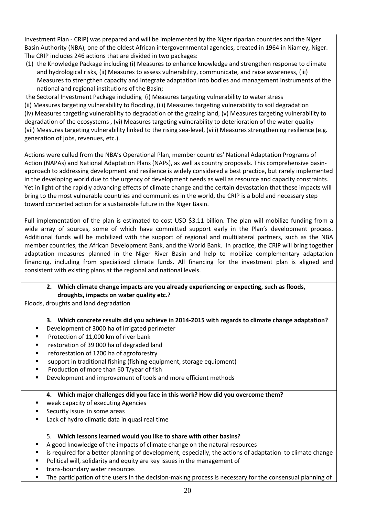Investment Plan - CRIP) was prepared and will be implemented by the Niger riparian countries and the Niger Basin Authority (NBA), one of the oldest African intergovernmental agencies, created in 1964 in Niamey, Niger. The CRIP includes 246 actions that are divided in two packages:

(1) the Knowledge Package including (i) Measures to enhance knowledge and strengthen response to climate and hydrological risks, (ii) Measures to assess vulnerability, communicate, and raise awareness, (iii) Measures to strengthen capacity and integrate adaptation into bodies and management instruments of the national and regional institutions of the Basin;

the Sectoral Investment Package including (i) Measures targeting vulnerability to water stress (ii) Measures targeting vulnerability to flooding, (iii) Measures targeting vulnerability to soil degradation (iv) Measures targeting vulnerability to degradation of the grazing land, (v) Measures targeting vulnerability to degradation of the ecosystems , (vi) Measures targeting vulnerability to deterioration of the water quality (vii) Measures targeting vulnerability linked to the rising sea-level, (viii) Measures strengthening resilience (e.g. generation of jobs, revenues, etc.).

Actions were culled from the NBA's Operational Plan, member countries' National Adaptation Programs of Action (NAPAs) and National Adaptation Plans (NAPs), as well as country proposals. This comprehensive basinapproach to addressing development and resilience is widely considered a best practice, but rarely implemented in the developing world due to the urgency of development needs as well as resource and capacity constraints. Yet in light of the rapidly advancing effects of climate change and the certain devastation that these impacts will bring to the most vulnerable countries and communities in the world, the CRIP is a bold and necessary step toward concerted action for a sustainable future in the Niger Basin.

Full implementation of the plan is estimated to cost USD \$3.11 billion. The plan will mobilize funding from a wide array of sources, some of which have committed support early in the Plan's development process. Additional funds will be mobilized with the support of regional and multilateral partners, such as the NBA member countries, the African Development Bank, and the World Bank. In practice, the CRIP will bring together adaptation measures planned in the Niger River Basin and help to mobilize complementary adaptation financing, including from specialized climate funds. All financing for the investment plan is aligned and consistent with existing plans at the regional and national levels.

### **2. Which climate change impacts are you already experiencing or expecting, such as floods, droughts, impacts on water quality etc.?**

Floods, droughts and land degradation

### **3. Which concrete results did you achieve in 2014-2015 with regards to climate change adaptation?**

- Development of 3000 ha of irrigated perimeter
- **Protection of 11,000 km of river bank**
- restoration of 39 000 ha of degraded land
- **F** reforestation of 1200 ha of agroforestry
- support in traditional fishing (fishing equipment, storage equipment)
- **Production of more than 60 T/year of fish**
- **Development and improvement of tools and more efficient methods**

#### **4. Which major challenges did you face in this work? How did you overcome them?**

- weak capacity of executing Agencies
- **Security issue in some areas**
- **EXTE:** Lack of hydro climatic data in quasi real time

#### 5. **Which lessons learned would you like to share with other basins?**

- A good knowledge of the impacts of climate change on the natural resources
- **EXECT** is required for a better planning of development, especially, the actions of adaptation to climate change
- **Political will, solidarity and equity are key issues in the management of**
- **trans-boundary water resources**
- **The participation of the users in the decision-making process is necessary for the consensual planning of**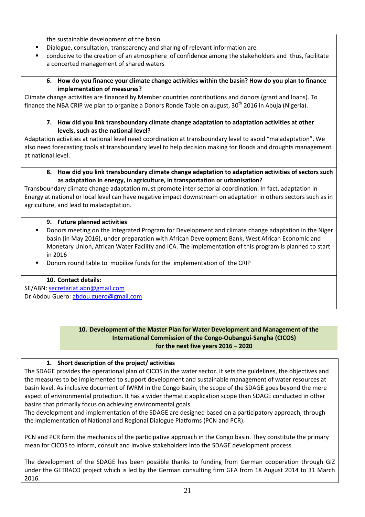the sustainable development of the basin

- Dialogue, consultation, transparency and sharing of relevant information are
- conducive to the creation of an atmosphere of confidence among the stakeholders and thus, facilitate a concerted management of shared waters

#### **6. How do you finance your climate change activities within the basin? How do you plan to finance implementation of measures?**

Climate change activities are financed by Member countries contributions and donors (grant and loans). To finance the NBA CRIP we plan to organize a Donors Ronde Table on august, 30<sup>th</sup> 2016 in Abuja (Nigeria).

#### **7. How did you link transboundary climate change adaptation to adaptation activities at other levels, such as the national level?**

Adaptation activities at national level need coordination at transboundary level to avoid "maladaptation". We also need forecasting tools at transboundary level to help decision making for floods and droughts management at national level.

#### **8. How did you link transboundary climate change adaptation to adaptation activities of sectors such as adaptation in energy, in agriculture, in transportation or urbanisation?**

Transboundary climate change adaptation must promote inter sectorial coordination. In fact, adaptation in Energy at national or local level can have negative impact downstream on adaptation in others sectors such as in agriculture, and lead to maladaptation.

#### **9. Future planned activities**

- Donors meeting on the Integrated Program for Development and climate change adaptation in the Niger basin (in May 2016), under preparation with African Development Bank, West African Economic and Monetary Union, African Water Facility and ICA. The implementation of this program is planned to start in 2016
- Donors round table to mobilize funds for the implementation of the CRIP

### **10. Contact details:**

SE/ABN: [secretariat.abn@gmail.com](mailto:secretariat.abn@gmail.com) Dr Abdou Guero: [abdou.guero@gmail.com](mailto:abdou.guero@gmail.com)

#### **10. Development of the Master Plan for Water Development and Management of the International Commission of the Congo-Oubangui-Sangha (CICOS) for the next five years 2016 – 2020**

### **1. Short description of the project/ activities**

The SDAGE provides the operational plan of CICOS in the water sector. It sets the guidelines, the objectives and the measures to be implemented to support development and sustainable management of water resources at basin level. As inclusive document of IWRM in the Congo Basin, the scope of the SDAGE goes beyond the mere aspect of environmental protection. It has a wider thematic application scope than SDAGE conducted in other basins that primarily focus on achieving environmental goals.

The development and implementation of the SDAGE are designed based on a participatory approach, through the implementation of National and Regional Dialogue Platforms (PCN and PCR).

PCN and PCR form the mechanics of the participative approach in the Congo basin. They constitute the primary mean for CICOS to inform, consult and involve stakeholders into the SDAGE development process.

The development of the SDAGE has been possible thanks to funding from German cooperation through GIZ under the GETRACO project which is led by the German consulting firm GFA from 18 August 2014 to 31 March 2016.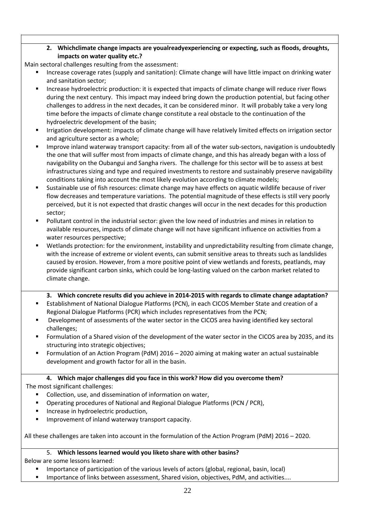### **2. Whichclimate change impacts are youalreadyexperiencing or expecting, such as floods, droughts, impacts on water quality etc.?**

Main sectoral challenges resulting from the assessment:

- Increase coverage rates (supply and sanitation): Climate change will have little impact on drinking water and sanitation sector;
- Increase hydroelectric production: it is expected that impacts of climate change will reduce river flows during the next century. This impact may indeed bring down the production potential, but facing other challenges to address in the next decades, it can be considered minor. It will probably take a very long time before the impacts of climate change constitute a real obstacle to the continuation of the hydroelectric development of the basin;
- **Interation development: impacts of climate change will have relatively limited effects on irrigation sector** and agriculture sector as a whole;
- Improve inland waterway transport capacity: from all of the water sub-sectors, navigation is undoubtedly the one that will suffer most from impacts of climate change, and this has already began with a loss of navigability on the Oubangui and Sangha rivers. The challenge for this sector will be to assess at best infrastructures sizing and type and required investments to restore and sustainably preserve navigability conditions taking into account the most likely evolution according to climate models;
- Sustainable use of fish resources: climate change may have effects on aquatic wildlife because of river flow decreases and temperature variations. The potential magnitude of these effects is still very poorly perceived, but it is not expected that drastic changes will occur in the next decades for this production sector;
- Pollutant control in the industrial sector: given the low need of industries and mines in relation to available resources, impacts of climate change will not have significant influence on activities from a water resources perspective;
- Wetlands protection: for the environment, instability and unpredictability resulting from climate change, with the increase of extreme or violent events, can submit sensitive areas to threats such as landslides caused by erosion. However, from a more positive point of view wetlands and forests, peatlands, may provide significant carbon sinks, which could be long-lasting valued on the carbon market related to climate change.

### **3. Which concrete results did you achieve in 2014-2015 with regards to climate change adaptation?**

- Establishment of National Dialogue Platforms (PCN), in each CICOS Member State and creation of a Regional Dialogue Platforms (PCR) which includes representatives from the PCN;
- Development of assessments of the water sector in the CICOS area having identified key sectoral challenges;
- Formulation of a Shared vision of the development of the water sector in the CICOS area by 2035, and its structuring into strategic objectives;
- Formulation of an Action Program (PdM) 2016 2020 aiming at making water an actual sustainable development and growth factor for all in the basin.

# **4. Which major challenges did you face in this work? How did you overcome them?**

The most significant challenges:

- Collection, use, and dissemination of information on water,
- **Dearally 2** Operating procedures of National and Regional Dialogue Platforms (PCN / PCR),
- **Increase in hydroelectric production,**
- Improvement of inland waterway transport capacity.

All these challenges are taken into account in the formulation of the Action Program (PdM) 2016 – 2020.

### 5. **Which lessons learned would you liketo share with other basins?**

Below are some lessons learned:

- Importance of participation of the various levels of actors (global, regional, basin, local)
- Importance of links between assessment, Shared vision, objectives, PdM, and activities....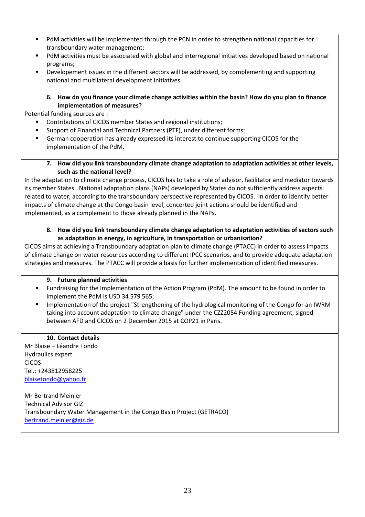- PdM activities will be implemented through the PCN in order to strengthen national capacities for transboundary water management;
- PdM activities must be associated with global and interregional initiatives developed based on national programs;
- Developement issues in the different sectors will be addressed, by complementing and supporting national and multilateral development initiatives.

#### **6. How do you finance your climate change activities within the basin? How do you plan to finance implementation of measures?**

Potential funding sources are :

- Contributions of CICOS member States and regional institutions;
- **Support of Financial and Technical Partners (PTF), under different forms;**
- German cooperation has already expressed its interest to continue supporting CICOS for the implementation of the PdM.
	- **7. How did you link transboundary climate change adaptation to adaptation activities at other levels, such as the national level?**

In the adaptation to climate change process, CICOS has to take a role of advisor, facilitator and mediator towards its member States. National adaptation plans (NAPs) developed by States do not sufficiently address aspects related to water, according to the transboundary perspective represented by CICOS. In order to identify better impacts of climate change at the Congo basin level, concerted joint actions should be identified and implemented, as a complement to those already planned in the NAPs.

#### **8. How did you link transboundary climate change adaptation to adaptation activities of sectors such as adaptation in energy, in agriculture, in transportation or urbanisation?**

CICOS aims at achieving a Transboundary adaptation plan to climate change (PTACC) in order to assess impacts of climate change on water resources according to different IPCC scenarios, and to provide adequate adaptation strategies and measures. The PTACC will provide a basis for further implementation of identified measures.

#### **9. Future planned activities**

- Fundraising for the Implementation of the Action Program (PdM). The amount to be found in order to implement the PdM is USD 34 579 565;
- **Implementation of the project "Strengthening of the hydrological monitoring of the Congo for an IWRM** taking into account adaptation to climate change" under the CZZ2054 Funding agreement, signed between AFD and CICOS on 2 December 2015 at COP21 in Paris.

### **10. Contact details**

Mr Blaise – Léandre Tondo Hydraulics expert CICOS Tel.: +243812958225 [blaisetondo@yahoo.fr](mailto:blaisetondo@yahoo.fr)

Mr Bertrand Meinier Technical Advisor GIZ Transboundary Water Management in the Congo Basin Project (GETRACO) [bertrand.meinier@giz.de](mailto:bertrand.meinier@giz.de)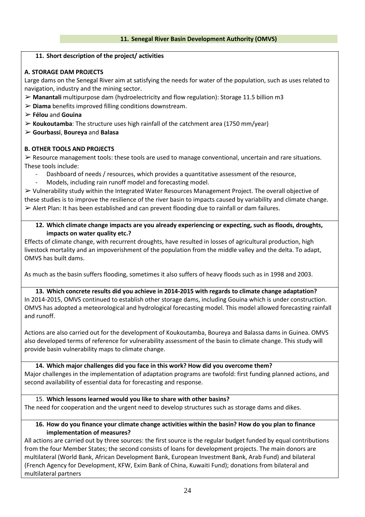#### **11. Short description of the project/ activities**

### **A. STORAGE DAM PROJECTS**

Large dams on the Senegal River aim at satisfying the needs for water of the population, such as uses related to navigation, industry and the mining sector.

- ➢ **Manantali** multipurpose dam (hydroelectricity and flow regulation): Storage 11.5 billion m3
- ➢ **Diama** benefits improved filling conditions downstream.

➢ **Félou** and **Gouina**

➢ **Koukoutamba**: The structure uses high rainfall of the catchment area (1750 mm/year)

➢ **Gourbassi**, **Boureya** and **Balasa**

#### **B. OTHER TOOLS AND PROJECTS**

➢ Resource management tools: these tools are used to manage conventional, uncertain and rare situations. These tools include:

- Dashboard of needs / resources, which provides a quantitative assessment of the resource,
- Models, including rain runoff model and forecasting model.

➢ Vulnerability study within the Integrated Water Resources Management Project. The overall objective of these studies is to improve the resilience of the river basin to impacts caused by variability and climate change.  $\triangleright$  Alert Plan: It has been established and can prevent flooding due to rainfall or dam failures.

**12. Which climate change impacts are you already experiencing or expecting, such as floods, droughts, impacts on water quality etc.?**

Effects of climate change, with recurrent droughts, have resulted in losses of agricultural production, high livestock mortality and an impoverishment of the population from the middle valley and the delta. To adapt, OMVS has built dams.

As much as the basin suffers flooding, sometimes it also suffers of heavy floods such as in 1998 and 2003.

**13. Which concrete results did you achieve in 2014-2015 with regards to climate change adaptation?** In 2014-2015, OMVS continued to establish other storage dams, including Gouina which is under construction. OMVS has adopted a meteorological and hydrological forecasting model. This model allowed forecasting rainfall and runoff.

Actions are also carried out for the development of Koukoutamba, Boureya and Balassa dams in Guinea. OMVS also developed terms of reference for vulnerability assessment of the basin to climate change. This study will provide basin vulnerability maps to climate change.

**14. Which major challenges did you face in this work? How did you overcome them?** Major challenges in the implementation of adaptation programs are twofold: first funding planned actions, and second availability of essential data for forecasting and response.

15. **Which lessons learned would you like to share with other basins?** The need for cooperation and the urgent need to develop structures such as storage dams and dikes.

#### **16. How do you finance your climate change activities within the basin? How do you plan to finance implementation of measures?**

All actions are carried out by three sources: the first source is the regular budget funded by equal contributions from the four Member States; the second consists of loans for development projects. The main donors are multilateral (World Bank, African Development Bank, European Investment Bank, Arab Fund) and bilateral (French Agency for Development, KFW, Exim Bank of China, Kuwaiti Fund); donations from bilateral and multilateral partners